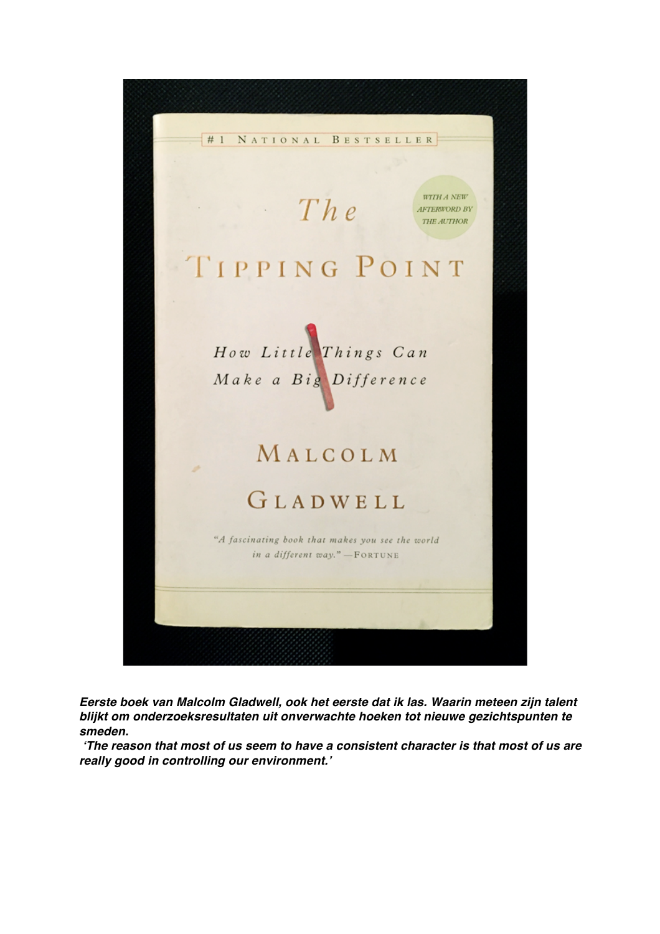

*Eerste boek van Malcolm Gladwell, ook het eerste dat ik las. Waarin meteen zijn talent blijkt om onderzoeksresultaten uit onverwachte hoeken tot nieuwe gezichtspunten te smeden.*

*'The reason that most of us seem to have a consistent character is that most of us are really good in controlling our environment.'*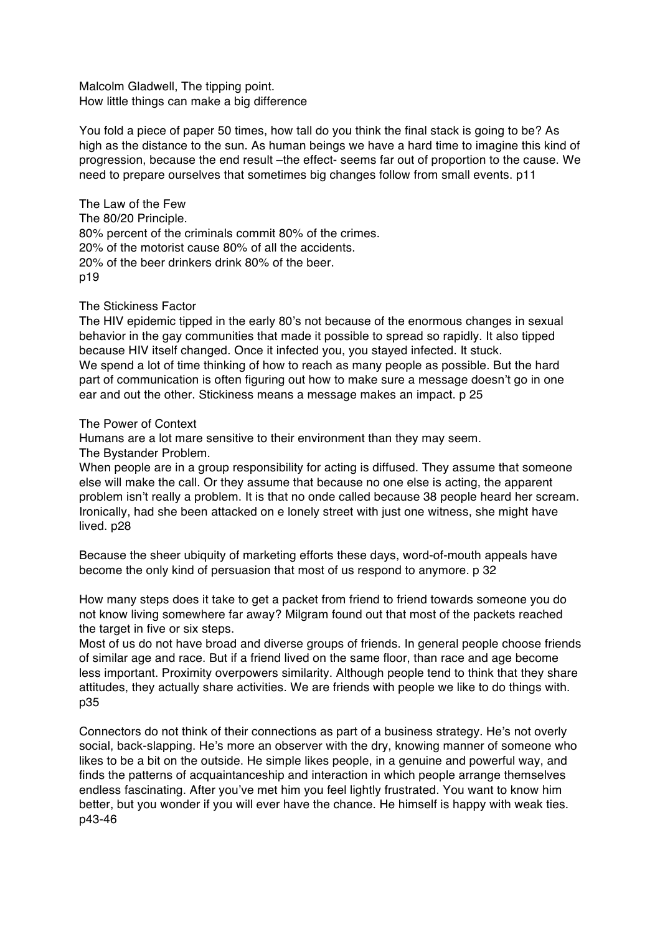Malcolm Gladwell, The tipping point. How little things can make a big difference

You fold a piece of paper 50 times, how tall do you think the final stack is going to be? As high as the distance to the sun. As human beings we have a hard time to imagine this kind of progression, because the end result –the effect- seems far out of proportion to the cause. We need to prepare ourselves that sometimes big changes follow from small events. p11

The Law of the Few

The 80/20 Principle. 80% percent of the criminals commit 80% of the crimes. 20% of the motorist cause 80% of all the accidents. 20% of the beer drinkers drink 80% of the beer. p19

The Stickiness Factor

The HIV epidemic tipped in the early 80's not because of the enormous changes in sexual behavior in the gay communities that made it possible to spread so rapidly. It also tipped because HIV itself changed. Once it infected you, you stayed infected. It stuck. We spend a lot of time thinking of how to reach as many people as possible. But the hard part of communication is often figuring out how to make sure a message doesn't go in one ear and out the other. Stickiness means a message makes an impact. p 25

## The Power of Context

Humans are a lot mare sensitive to their environment than they may seem.

The Bystander Problem.

When people are in a group responsibility for acting is diffused. They assume that someone else will make the call. Or they assume that because no one else is acting, the apparent problem isn't really a problem. It is that no onde called because 38 people heard her scream. Ironically, had she been attacked on e lonely street with just one witness, she might have lived. p28

Because the sheer ubiquity of marketing efforts these days, word-of-mouth appeals have become the only kind of persuasion that most of us respond to anymore. p 32

How many steps does it take to get a packet from friend to friend towards someone you do not know living somewhere far away? Milgram found out that most of the packets reached the target in five or six steps.

Most of us do not have broad and diverse groups of friends. In general people choose friends of similar age and race. But if a friend lived on the same floor, than race and age become less important. Proximity overpowers similarity. Although people tend to think that they share attitudes, they actually share activities. We are friends with people we like to do things with. p35

Connectors do not think of their connections as part of a business strategy. He's not overly social, back-slapping. He's more an observer with the dry, knowing manner of someone who likes to be a bit on the outside. He simple likes people, in a genuine and powerful way, and finds the patterns of acquaintanceship and interaction in which people arrange themselves endless fascinating. After you've met him you feel lightly frustrated. You want to know him better, but you wonder if you will ever have the chance. He himself is happy with weak ties. p43-46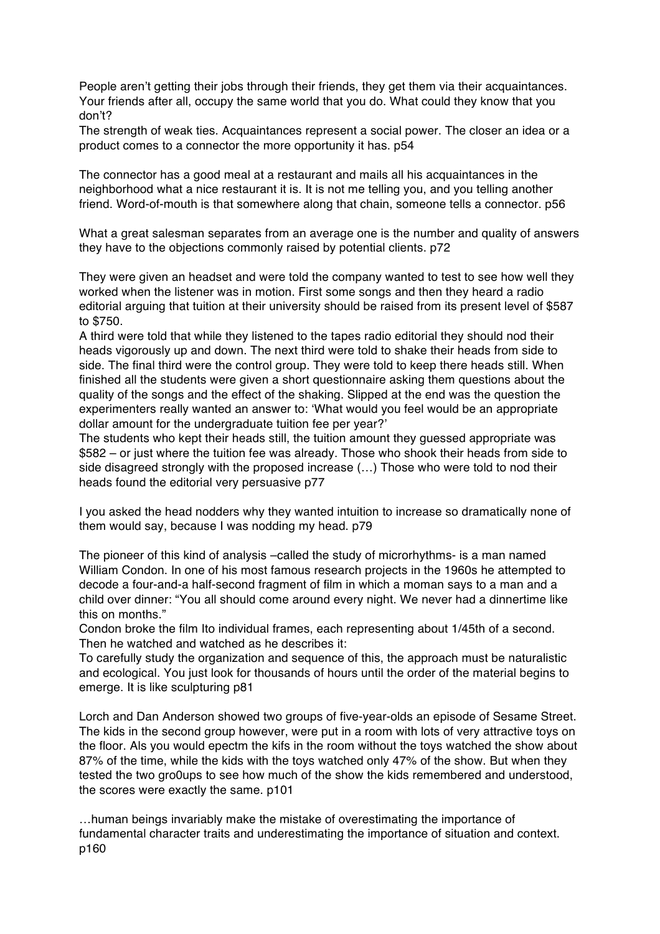People aren't getting their jobs through their friends, they get them via their acquaintances. Your friends after all, occupy the same world that you do. What could they know that you don't?

The strength of weak ties. Acquaintances represent a social power. The closer an idea or a product comes to a connector the more opportunity it has. p54

The connector has a good meal at a restaurant and mails all his acquaintances in the neighborhood what a nice restaurant it is. It is not me telling you, and you telling another friend. Word-of-mouth is that somewhere along that chain, someone tells a connector. p56

What a great salesman separates from an average one is the number and quality of answers they have to the objections commonly raised by potential clients. p72

They were given an headset and were told the company wanted to test to see how well they worked when the listener was in motion. First some songs and then they heard a radio editorial arguing that tuition at their university should be raised from its present level of \$587 to \$750.

A third were told that while they listened to the tapes radio editorial they should nod their heads vigorously up and down. The next third were told to shake their heads from side to side. The final third were the control group. They were told to keep there heads still. When finished all the students were given a short questionnaire asking them questions about the quality of the songs and the effect of the shaking. Slipped at the end was the question the experimenters really wanted an answer to: 'What would you feel would be an appropriate dollar amount for the undergraduate tuition fee per year?'

The students who kept their heads still, the tuition amount they guessed appropriate was \$582 – or just where the tuition fee was already. Those who shook their heads from side to side disagreed strongly with the proposed increase (…) Those who were told to nod their heads found the editorial very persuasive p77

I you asked the head nodders why they wanted intuition to increase so dramatically none of them would say, because I was nodding my head. p79

The pioneer of this kind of analysis –called the study of microrhythms- is a man named William Condon. In one of his most famous research projects in the 1960s he attempted to decode a four-and-a half-second fragment of film in which a moman says to a man and a child over dinner: "You all should come around every night. We never had a dinnertime like this on months."

Condon broke the film Ito individual frames, each representing about 1/45th of a second. Then he watched and watched as he describes it:

To carefully study the organization and sequence of this, the approach must be naturalistic and ecological. You just look for thousands of hours until the order of the material begins to emerge. It is like sculpturing p81

Lorch and Dan Anderson showed two groups of five-year-olds an episode of Sesame Street. The kids in the second group however, were put in a room with lots of very attractive toys on the floor. Als you would epectm the kifs in the room without the toys watched the show about 87% of the time, while the kids with the toys watched only 47% of the show. But when they tested the two gro0ups to see how much of the show the kids remembered and understood, the scores were exactly the same. p101

…human beings invariably make the mistake of overestimating the importance of fundamental character traits and underestimating the importance of situation and context. p160